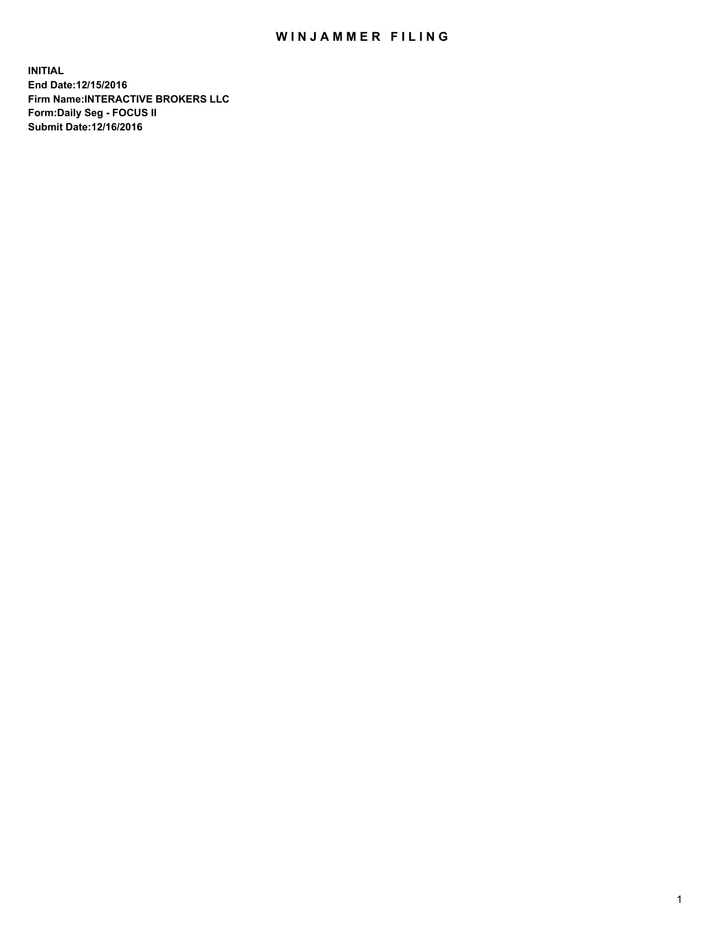## WIN JAMMER FILING

**INITIAL End Date:12/15/2016 Firm Name:INTERACTIVE BROKERS LLC Form:Daily Seg - FOCUS II Submit Date:12/16/2016**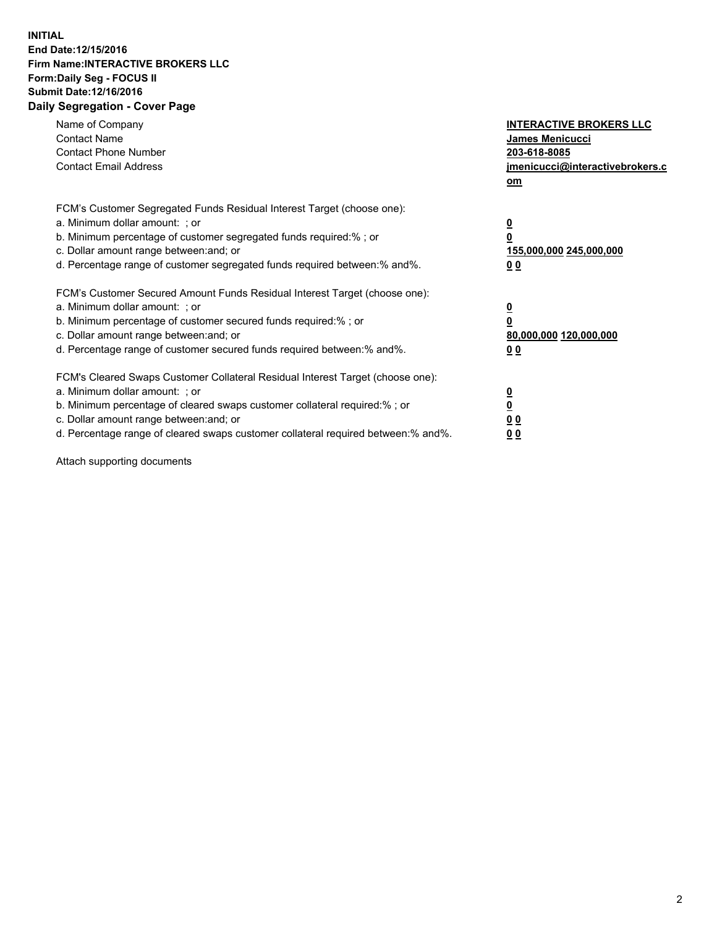## **INITIAL End Date:12/15/2016 Firm Name:INTERACTIVE BROKERS LLC Form:Daily Seg - FOCUS II Submit Date:12/16/2016 Daily Segregation - Cover Page**

| Name of Company<br><b>Contact Name</b><br><b>Contact Phone Number</b><br><b>Contact Email Address</b>                                                                                                                                                                                                                          | <b>INTERACTIVE BROKERS LLC</b><br>James Menicucci<br>203-618-8085<br><u>jmenicucci@interactivebrokers.c</u><br>om |
|--------------------------------------------------------------------------------------------------------------------------------------------------------------------------------------------------------------------------------------------------------------------------------------------------------------------------------|-------------------------------------------------------------------------------------------------------------------|
| FCM's Customer Segregated Funds Residual Interest Target (choose one):<br>a. Minimum dollar amount: ; or<br>b. Minimum percentage of customer segregated funds required:%; or<br>c. Dollar amount range between: and; or<br>d. Percentage range of customer segregated funds required between:% and%.                          | $\overline{\mathbf{0}}$<br>0<br>155,000,000 245,000,000<br>0 <sub>0</sub>                                         |
| FCM's Customer Secured Amount Funds Residual Interest Target (choose one):<br>a. Minimum dollar amount: ; or<br>b. Minimum percentage of customer secured funds required:%; or<br>c. Dollar amount range between: and; or<br>d. Percentage range of customer secured funds required between:% and%.                            | $\overline{\mathbf{0}}$<br>$\overline{\mathbf{0}}$<br>80,000,000 120,000,000<br>00                                |
| FCM's Cleared Swaps Customer Collateral Residual Interest Target (choose one):<br>a. Minimum dollar amount: ; or<br>b. Minimum percentage of cleared swaps customer collateral required:% ; or<br>c. Dollar amount range between: and; or<br>d. Percentage range of cleared swaps customer collateral required between:% and%. | $\overline{\mathbf{0}}$<br>$\overline{\mathbf{0}}$<br>0 <sub>0</sub><br><u>00</u>                                 |

Attach supporting documents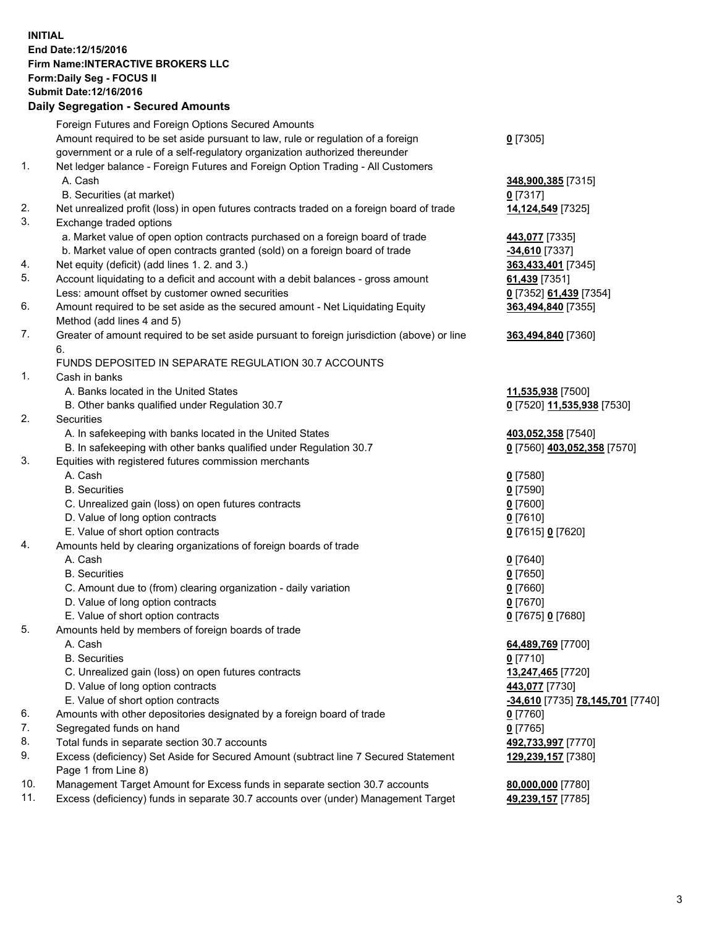## **INITIAL End Date:12/15/2016 Firm Name:INTERACTIVE BROKERS LLC Form:Daily Seg - FOCUS II Submit Date:12/16/2016 Daily Segregation - Secured Amounts**

|     | Daily Segregation - Secured Amounts                                                         |                                  |
|-----|---------------------------------------------------------------------------------------------|----------------------------------|
|     | Foreign Futures and Foreign Options Secured Amounts                                         |                                  |
|     | Amount required to be set aside pursuant to law, rule or regulation of a foreign            | $0$ [7305]                       |
|     | government or a rule of a self-regulatory organization authorized thereunder                |                                  |
| 1.  | Net ledger balance - Foreign Futures and Foreign Option Trading - All Customers             |                                  |
|     | A. Cash                                                                                     | 348,900,385 [7315]               |
|     | B. Securities (at market)                                                                   | $0$ [7317]                       |
| 2.  | Net unrealized profit (loss) in open futures contracts traded on a foreign board of trade   | 14,124,549 [7325]                |
| 3.  | Exchange traded options                                                                     |                                  |
|     | a. Market value of open option contracts purchased on a foreign board of trade              |                                  |
|     |                                                                                             | 443,077 [7335]                   |
|     | b. Market value of open contracts granted (sold) on a foreign board of trade                | $-34,610$ [7337]                 |
| 4.  | Net equity (deficit) (add lines 1.2. and 3.)                                                | 363,433,401 [7345]               |
| 5.  | Account liquidating to a deficit and account with a debit balances - gross amount           | 61,439 [7351]                    |
|     | Less: amount offset by customer owned securities                                            | 0 [7352] 61,439 [7354]           |
| 6.  | Amount required to be set aside as the secured amount - Net Liquidating Equity              | 363,494,840 [7355]               |
|     | Method (add lines 4 and 5)                                                                  |                                  |
| 7.  | Greater of amount required to be set aside pursuant to foreign jurisdiction (above) or line | 363,494,840 [7360]               |
|     | 6.                                                                                          |                                  |
|     | FUNDS DEPOSITED IN SEPARATE REGULATION 30.7 ACCOUNTS                                        |                                  |
| 1.  | Cash in banks                                                                               |                                  |
|     | A. Banks located in the United States                                                       | 11,535,938 [7500]                |
|     | B. Other banks qualified under Regulation 30.7                                              | 0 [7520] 11,535,938 [7530]       |
| 2.  | <b>Securities</b>                                                                           |                                  |
|     | A. In safekeeping with banks located in the United States                                   | 403,052,358 [7540]               |
|     | B. In safekeeping with other banks qualified under Regulation 30.7                          | 0 [7560] 403,052,358 [7570]      |
| 3.  | Equities with registered futures commission merchants                                       |                                  |
|     | A. Cash                                                                                     | $0$ [7580]                       |
|     | <b>B.</b> Securities                                                                        | $0$ [7590]                       |
|     | C. Unrealized gain (loss) on open futures contracts                                         | $0$ [7600]                       |
|     | D. Value of long option contracts                                                           | $0$ [7610]                       |
|     | E. Value of short option contracts                                                          | 0 [7615] 0 [7620]                |
| 4.  | Amounts held by clearing organizations of foreign boards of trade                           |                                  |
|     | A. Cash                                                                                     | $0$ [7640]                       |
|     | <b>B.</b> Securities                                                                        | $0$ [7650]                       |
|     | C. Amount due to (from) clearing organization - daily variation                             | $0$ [7660]                       |
|     | D. Value of long option contracts                                                           | $0$ [7670]                       |
|     | E. Value of short option contracts                                                          | 0 [7675] 0 [7680]                |
| 5.  | Amounts held by members of foreign boards of trade                                          |                                  |
|     | A. Cash                                                                                     | 64,489,769 [7700]                |
|     | <b>B.</b> Securities                                                                        | $0$ [7710]                       |
|     | C. Unrealized gain (loss) on open futures contracts                                         | 13,247,465 [7720]                |
|     | D. Value of long option contracts                                                           | 443,077 [7730]                   |
|     | E. Value of short option contracts                                                          | -34,610 [7735] 78,145,701 [7740] |
| 6.  | Amounts with other depositories designated by a foreign board of trade                      | 0 [7760]                         |
| 7.  | Segregated funds on hand                                                                    | $0$ [7765]                       |
| 8.  | Total funds in separate section 30.7 accounts                                               | 492,733,997 [7770]               |
| 9.  | Excess (deficiency) Set Aside for Secured Amount (subtract line 7 Secured Statement         | 129,239,157 [7380]               |
|     | Page 1 from Line 8)                                                                         |                                  |
| 10. | Management Target Amount for Excess funds in separate section 30.7 accounts                 | 80,000,000 [7780]                |
| 11. | Excess (deficiency) funds in separate 30.7 accounts over (under) Management Target          | 49,239,157 [7785]                |
|     |                                                                                             |                                  |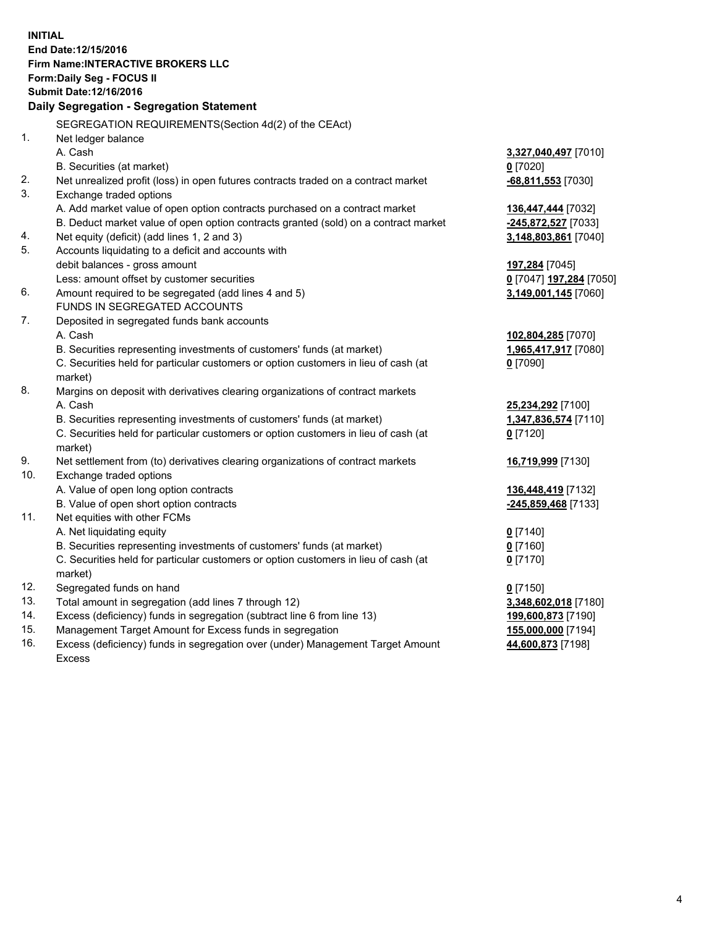**INITIAL End Date:12/15/2016 Firm Name:INTERACTIVE BROKERS LLC Form:Daily Seg - FOCUS II Submit Date:12/16/2016 Daily Segregation - Segregation Statement** SEGREGATION REQUIREMENTS(Section 4d(2) of the CEAct) 1. Net ledger balance A. Cash **3,327,040,497** [7010] B. Securities (at market) **0** [7020] 2. Net unrealized profit (loss) in open futures contracts traded on a contract market **-68,811,553** [7030] 3. Exchange traded options A. Add market value of open option contracts purchased on a contract market **136,447,444** [7032] B. Deduct market value of open option contracts granted (sold) on a contract market **-245,872,527** [7033] 4. Net equity (deficit) (add lines 1, 2 and 3) **3,148,803,861** [7040] 5. Accounts liquidating to a deficit and accounts with debit balances - gross amount **197,284** [7045] Less: amount offset by customer securities **0** [7047] **197,284** [7050] 6. Amount required to be segregated (add lines 4 and 5) **3,149,001,145** [7060] FUNDS IN SEGREGATED ACCOUNTS 7. Deposited in segregated funds bank accounts A. Cash **102,804,285** [7070] B. Securities representing investments of customers' funds (at market) **1,965,417,917** [7080] C. Securities held for particular customers or option customers in lieu of cash (at market) **0** [7090] 8. Margins on deposit with derivatives clearing organizations of contract markets A. Cash **25,234,292** [7100] B. Securities representing investments of customers' funds (at market) **1,347,836,574** [7110] C. Securities held for particular customers or option customers in lieu of cash (at market) **0** [7120] 9. Net settlement from (to) derivatives clearing organizations of contract markets **16,719,999** [7130] 10. Exchange traded options A. Value of open long option contracts **136,448,419** [7132] B. Value of open short option contracts **-245,859,468** [7133] 11. Net equities with other FCMs A. Net liquidating equity **0** [7140] B. Securities representing investments of customers' funds (at market) **0** [7160] C. Securities held for particular customers or option customers in lieu of cash (at market) **0** [7170] 12. Segregated funds on hand **0** [7150] 13. Total amount in segregation (add lines 7 through 12) **3,348,602,018** [7180] 14. Excess (deficiency) funds in segregation (subtract line 6 from line 13) **199,600,873** [7190] 15. Management Target Amount for Excess funds in segregation **155,000,000** [7194] **44,600,873** [7198]

16. Excess (deficiency) funds in segregation over (under) Management Target Amount Excess

4